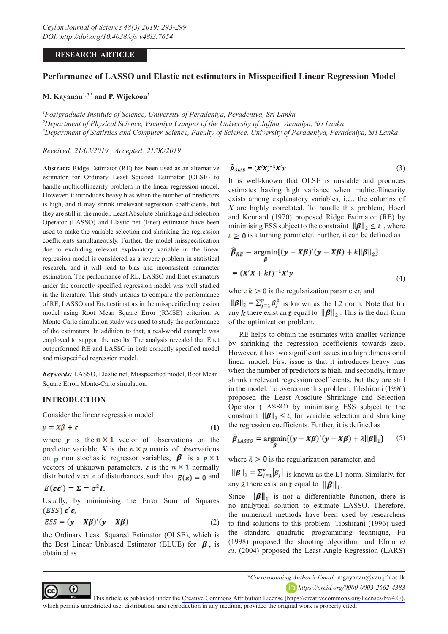## **RESEARCH ARTICLE**

# **Performance of LASSO and Elastic net estimators in Misspecified Linear Regression Model**

### **M. Kayanan1, 2,\* and P. Wijekoon3**

*1 Postgraduate Institute of Science, University of Peradeniya, Peradeniya, Sri Lanka 2 Department of Physical Science, Vavuniya Campus of the University of Jaffna, Vavuniya, Sri Lanka 3 Department of Statistics and Computer Science, Faculty of Science, University of Peradeniya, Peradeniya, Sri Lanka*

*Received: 21/03/2019 ; Accepted: 21/06/2019*

**Abstract:** Ridge Estimator (RE) has been used as an alternative estimator for Ordinary Least Squared Estimator (OLSE) to handle multicollinearity problem in the linear regression model. However, it introduces heavy bias when the number of predictors is high, and it may shrink irrelevant regression coefficients, but they are still in the model. Least Absolute Shrinkage and Selection Operator (LASSO) and Elastic net (Enet) estimator have been used to make the variable selection and shrinking the regression coefficients simultaneously. Further, the model misspecification due to excluding relevant explanatory variable in the linear regression model is considered as a severe problem in statistical research, and it will lead to bias and inconsistent parameter estimation. The performance of RE, LASSO and Enet estimators under the correctly specified regression model was well studied in the literature. This study intends to compare the performance of RE, LASSO and Enet estimators in the misspecified regression model using Root Mean Square Error (RMSE) criterion. A Monte-Carlo simulation study was used to study the performance of the estimators. In addition to that, a real-world example was employed to support the results. The analysis revealed that Enet outperformed RE and LASSO in both correctly specified model and misspecified regression model.

*Keywords:* LASSO, Elastic net, Misspecified model, Root Mean Square Error, Monte-Carlo simulation.

## **INTRODUCTION**

Consider the linear regression model

$$
y = X\beta + \varepsilon \tag{1}
$$

where  $y$  is the  $n \times 1$  vector of observations on the predictor variable,  $X$  is the  $n \times p$  matrix of observations on *n* non stochastic regressor variables,  $\beta$  is a  $p \times 1$ vectors of unknown parameters,  $\varepsilon$  is the  $n \times 1$  normally distributed vector of disturbances, such that  $E(\varepsilon) = 0$  and

$$
E(\varepsilon \varepsilon') = \Sigma = \sigma^2 I
$$

⋒

Usually, by minimising the Error Sum of Squares  $(ESS) \, \varepsilon' \varepsilon$ ,

$$
ESS = (\mathbf{y} - \mathbf{X}\boldsymbol{\beta})'(\mathbf{y} - \mathbf{X}\boldsymbol{\beta})
$$
 (2)

the Ordinary Least Squared Estimator (OLSE), which is the Best Linear Unbiased Estimator (BLUE) for  $\beta$ , is obtained as

$$
\widehat{\beta}_{OLSE} = (X'X)^{-1}X'y \tag{3}
$$

It is well-known that OLSE is unstable and produces estimates having high variance when multicollinearity exists among explanatory variables, i.e., the columns of *X* are highly correlated. To handle this problem, Hoerl and Kennard (1970) proposed Ridge Estimator (RE) by minimising ESS subject to the constraint  $\|\boldsymbol{\beta}\|_2 \leq t$ , where  $t \geq 0$  is a turning parameter. Further, it can be defined as

$$
\widehat{\beta}_{RE} = \underset{\beta}{\operatorname{argmin}} \{ (\mathbf{y} - \mathbf{X}\beta)'(\mathbf{y} - \mathbf{X}\beta) + k \|\boldsymbol{\beta}\|_2 \}
$$

$$
= (\mathbf{X}'\mathbf{X} + k\mathbf{I})^{-1}\mathbf{X}'\mathbf{y}
$$
(4)

where  $k > 0$  is the regularization parameter, and

 is known as the L2 norm. Note that for any k there exist an t equal to  $\|\boldsymbol{\beta}\|_2$ . This is the dual form of the optimization problem.

RE helps to obtain the estimates with smaller variance by shrinking the regression coefficients towards zero. However, it has two significant issues in a high dimensional linear model. First issue is that it introduces heavy bias when the number of predictors is high, and secondly, it may shrink irrelevant regression coefficients, but they are still in the model. To overcome this problem, Tibshirani (1996) proposed the Least Absolute Shrinkage and Selection Operator (LASSO) by minimising ESS subject to the constraint  $\|\boldsymbol{\beta}\|_1 \leq t$ , for variable selection and shrinking the regression coefficients. Further, it is defined as

$$
\widehat{\beta}_{LASSO} = \underset{\beta}{\text{argmin}} \{ (\mathbf{y} - \mathbf{X}\beta)'(\mathbf{y} - \mathbf{X}\beta) + \lambda ||\beta||_1 \} \qquad (5)
$$

where  $\lambda > 0$  is the regularization parameter, and

 $\|\boldsymbol{\beta}\|_1 = \sum_{j=1}^p |\beta_j|$  is known as the L1 norm. Similarly, for any  $\lambda$  there exist an  $\mathbf{t}$  equal to  $\|\boldsymbol{\beta}\|_1$ .

Since  $\|\boldsymbol{\beta}\|_1$  is not a differentiable function, there is no analytical solution to estimate LASSO. Therefore, the numerical methods have been used by researchers to find solutions to this problem. Tibshirani (1996) used the standard quadratic programming technique, Fu (1998) proposed the shooting algorithm, and Efron *et al*. (2004) proposed the Least Angle Regression (LARS)

This article is published under the [Creative Commons Attribution License \(https://creativecommons.org/licenses/by/4.0/\),](https://creativecommons.org/licenses/by/4.0/)  which permits unrestricted use, distribution, and reproduction in any medium, provided the original work is properly cited.

*<sup>\*</sup>Corresponding Author's Email:* mgayanan@vau.jfn.ac.lk

*https://orcid.org/0000-0003-2662-4383*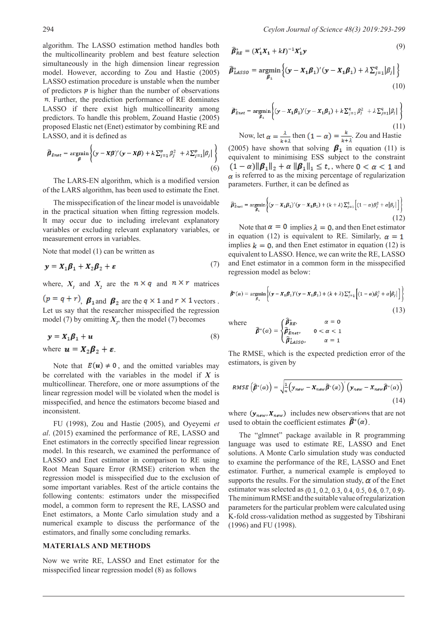algorithm. The LASSO estimation method handles both the multicollinearity problem and best feature selection simultaneously in the high dimension linear regression model. However, according to Zou and Hastie (2005) LASSO estimation procedure is unstable when the number of predictors  $\vec{p}$  is higher than the number of observations  $n$ . Further, the prediction performance of RE dominates LASSO if there exist high multicollinearity among predictors. To handle this problem, Zouand Hastie (2005) proposed Elastic net (Enet) estimator by combining RE and LASSO, and it is defined as

$$
\widehat{\boldsymbol{\beta}}_{\text{Enet}} = \underset{\boldsymbol{\beta}}{\text{argmin}} \left\{ (\mathbf{y} - \mathbf{X}\boldsymbol{\beta})' (\mathbf{y} - \mathbf{X}\boldsymbol{\beta}) + k \sum_{j=1}^{p} \beta_j^2 + \lambda \sum_{j=1}^{p} |\beta_j| \right\}
$$
\n(6)

The LARS-EN algorithm, which is a modified version of the LARS algorithm, has been used to estimate the Enet.

The misspecification of the linear model is unavoidable in the practical situation when fitting regression models. It may occur due to including irrelevant explanatory variables or excluding relevant explanatory variables, or measurement errors in variables.

Note that model (1) can be written as

$$
y = X_1 \beta_1 + X_2 \beta_2 + \varepsilon \tag{7}
$$

where,  $X_1$  and  $X_2$  are the  $n \times q$  and  $n \times r$  matrices

 $(p = q + r)$ ,  $\beta_{1}$  and  $\beta_{2}$  are the  $q \times 1$  and  $r \times 1$  vectors. Let us say that the researcher misspecified the regression model (7) by omitting  $X_2$ , then the model (7) becomes

$$
y = X_1 \beta_1 + u \tag{8}
$$

where  $\mathbf{u} = \mathbf{X}_2 \boldsymbol{\beta}_2 + \boldsymbol{\varepsilon}$ .

Note that  $E(u) \neq 0$ , and the omitted variables may be correlated with the variables in the model if *X* is multicollinear. Therefore, one or more assumptions of the linear regression model will be violated when the model is misspecified, and hence the estimators become biased and inconsistent.

FU (1998), Zou and Hastie (2005), and Oyeyemi *et al*. (2015) examined the performance of RE, LASSO and Enet estimators in the correctly specified linear regression model. In this research, we examined the performance of LASSO and Enet estimator in comparison to RE using Root Mean Square Error (RMSE) criterion when the regression model is misspecified due to the exclusion of some important variables. Rest of the article contains the following contents: estimators under the misspecified model, a common form to represent the RE, LASSO and Enet estimators, a Monte Carlo simulation study and a numerical example to discuss the performance of the estimators, and finally some concluding remarks.

### **MATERIALS AND METHODS**

Now we write RE, LASSO and Enet estimator for the misspecified linear regression model (8) as follows

$$
\widehat{\beta}_{RE}^* = (X_1'X_1 + kI)^{-1}X_1'y \tag{9}
$$

$$
\widehat{\boldsymbol{\beta}}_{LASSO}^* = \underset{\boldsymbol{\beta}_1}{\text{argmin}} \left\{ (\mathbf{y} - \mathbf{X}_1 \boldsymbol{\beta}_1)' (\mathbf{y} - \mathbf{X}_1 \boldsymbol{\beta}_1) + \lambda \sum_{j=1}^q |\beta_j| \right\}
$$
\n(10)

$$
\hat{\beta}_{\text{Enet}}^* = \underset{\beta_1}{\text{argmin}} \left\{ (\mathbf{y} - \mathbf{X}_1 \beta_1)' (\mathbf{y} - \mathbf{X}_1 \beta_1) + k \sum_{j=1}^q \beta_j^2 + \lambda \sum_{j=1}^q |\beta_j| \right\}
$$
\n(11)

Now, let  $\alpha = \frac{\lambda}{k + \lambda}$  then  $(1 - \alpha) = \frac{k}{k + \lambda}$ . Zou and Hastie (2005) have shown that solving  $\beta_1$  in equation (11) is equivalent to minimising ESS subject to the constraint  $(1 - \alpha) \|\boldsymbol{\beta}_1\|_2 + \alpha \|\boldsymbol{\beta}_1\|_1 \leq t$ , where  $0 < \alpha < 1$  and  $\alpha$  is referred to as the mixing percentage of regularization parameters. Further, it can be defined as

$$
\widehat{\beta}_{\text{Enet}}^* = \underset{\beta_1}{\text{argmin}} \left\{ (\mathbf{y} - \mathbf{X}_1 \boldsymbol{\beta}_1)'(\mathbf{y} - \mathbf{X}_1 \boldsymbol{\beta}_1) + (k + \lambda) \sum_{j=1}^q \left[ (1 - \alpha) \beta_j^2 + \alpha |\beta_j| \right] \right\}
$$
\n(12)

Note that  $\alpha = 0$  implies  $\lambda = 0$ , and then Enet estimator in equation (12) is equivalent to RE. Similarly,  $\alpha = 1$ implies  $k = 0$ , and then Enet estimator in equation (12) is equivalent to LASSO. Hence, we can write the RE, LASSO and Enet estimator in a common form in the misspecified regression model as below:

$$
\widehat{\beta}^*(\alpha) = \underset{\beta_1}{\text{argmin}} \left\{ (\mathbf{y} - \mathbf{X}_1 \beta_1)'(\mathbf{y} - \mathbf{X}_1 \beta_1) + (k + \lambda) \sum_{j=1}^q \left[ (1 - \alpha) \beta_j^2 + \alpha |\beta_j| \right] \right\}
$$
\n(13)

where 
$$
\widehat{\boldsymbol{\beta}}^*(\alpha) = \begin{cases} \boldsymbol{\beta}_{RE}^*, & \alpha = 0 \\ \widehat{\boldsymbol{\beta}}_{Enet}^*, & 0 < \alpha < 1 \\ \widehat{\boldsymbol{\beta}}_{LASSO}^*, & \alpha = 1 \end{cases}
$$

The RMSE, which is the expected prediction error of the estimators, is given by

$$
RMSE\left(\widehat{\beta}^*(\alpha)\right) = \sqrt{\frac{1}{n}\left(\mathbf{y}_{new} - \mathbf{X}_{new}\widehat{\beta}^*(\alpha)\right)'\left(\mathbf{y}_{new} - \mathbf{X}_{new}\widehat{\beta}^*(\alpha)\right)}
$$
(14)

where  $(y_{new}, X_{new})$  includes new observations that are not used to obtain the coefficient estimates  $\beta^*(\alpha)$ .

The "glmnet" package available in R programming language was used to estimate RE, LASSO and Enet solutions. A Monte Carlo simulation study was conducted to examine the performance of the RE, LASSO and Enet estimator. Further, a numerical example is employed to supports the results. For the simulation study,  $\alpha$  of the Enet estimator was selected as  $(0.1, 0.2, 0.3, 0.4, 0.5, 0.6, 0.7, 0.9)$ . The minimum RMSE and the suitable value of regularization parameters for the particular problem were calculated using K-fold cross-validation method as suggested by Tibshirani (1996) and FU (1998).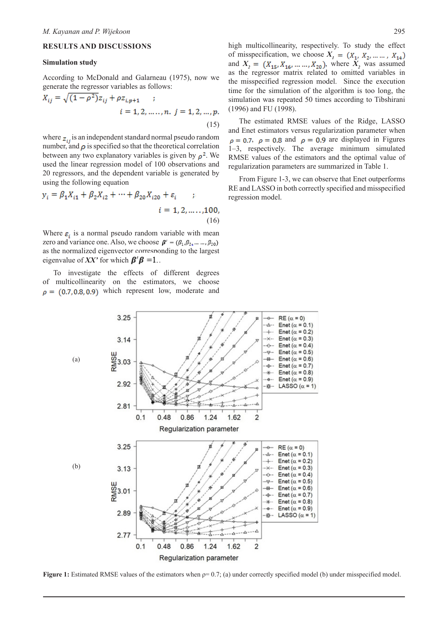### **RESULTS AND DISCUSSIONS**

#### **Simulation study**

According to McDonald and Galarneau (1975), now we generate the regressor variables as follows:

$$
X_{ij} = \sqrt{(1 - \rho^2)z_{ij} + \rho z_{i,p+1}} \quad ;
$$
  
\n
$$
i = 1, 2, ..., n. \quad j = 1, 2, ..., p.
$$
  
\n(15)

where  $z_{ij}$  is an independent standard normal pseudo random number, and  $\rho$  is specified so that the theoretical correlation between any two explanatory variables is given by  $\rho^2$ . We used the linear regression model of 100 observations and 20 regressors, and the dependent variable is generated by using the following equation

$$
y_i = \beta_1 X_{i1} + \beta_2 X_{i2} + \dots + \beta_{20} X_{i20} + \varepsilon_i \qquad ;
$$
  

$$
i = 1, 2, \dots, 100,
$$
  
(16)

Where  $\varepsilon$ , is a normal pseudo random variable with mean zero and variance one. Also, we choose  $\boldsymbol{\beta}' = (\beta_1, \beta_2, ..., \beta_{20})$ as the normalized eigenvector corresponding to the largest eigenvalue of *XX*' for which  $\beta' \beta = 1$ .

To investigate the effects of different degrees of multicollinearity on the estimators, we choose  $\rho = (0.7, 0.8, 0.9)$  which represent low, moderate and high multicollinearity, respectively. To study the effect of misspecification, we choose  $X_1 = (X_1, X_2, \dots, X_{14})$ and  $X_2 = (X_{15}, X_{16}, \dots, X_{20})$ , where  $X_2$  was assumed as the regressor matrix related to omitted variables in the misspecified regression model. Since the execution time for the simulation of the algorithm is too long, the simulation was repeated 50 times according to Tibshirani (1996) and FU (1998).

The estimated RMSE values of the Ridge, LASSO and Enet estimators versus regularization parameter when  $\rho = 0.7$ ,  $\rho = 0.8$  and  $\rho = 0.9$  are displayed in Figures 1–3, respectively. The average minimum simulated RMSE values of the estimators and the optimal value of regularization parameters are summarized in Table 1.

From Figure 1-3, we can observe that Enet outperforms RE and LASSO in both correctly specified and misspecified regression model.



**Figure 1:** Estimated RMSE values of the estimators when  $ρ = 0.7$ ; (a) under correctly specified model (b) under misspecified model.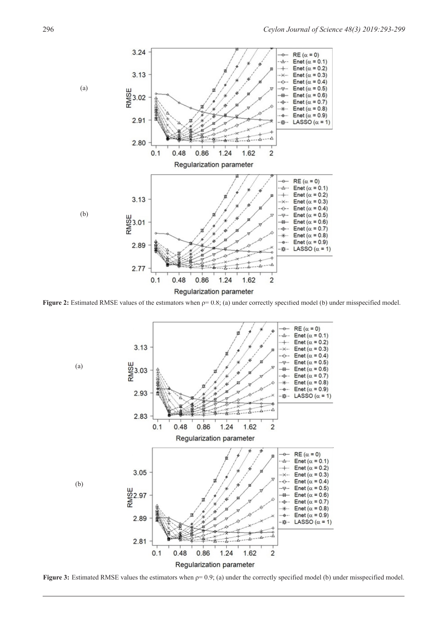

**Figure 2:** Estimated RMSE values of the estimators when ρ= 0.8; (a) under correctly specified model (b) under misspecified model.



**Figure 3:** Estimated RMSE values the estimators when  $ρ = 0.9$ ; (a) under the correctly specified model (b) under misspecified model.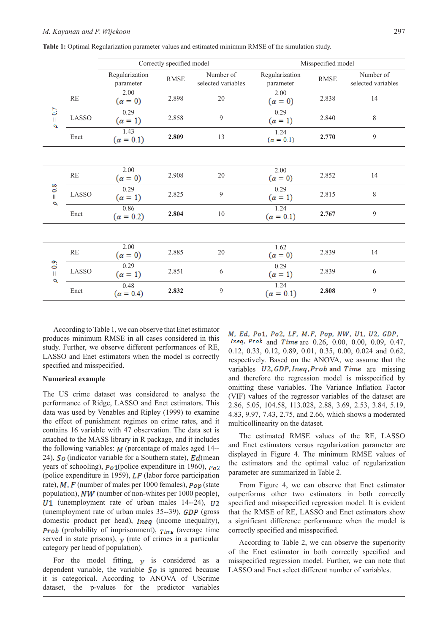|                                   |                         | Correctly specified model   |             |                                 | Misspecified model          |             |                                 |
|-----------------------------------|-------------------------|-----------------------------|-------------|---------------------------------|-----------------------------|-------------|---------------------------------|
|                                   |                         | Regularization<br>parameter | <b>RMSE</b> | Number of<br>selected variables | Regularization<br>parameter | <b>RMSE</b> | Number of<br>selected variables |
| $= 0.7$<br>p                      | $\mathbb{R} \mathbb{E}$ | 2.00<br>$(\alpha = 0)$      | 2.898       | $20\,$                          | 2.00<br>$(\alpha = 0)$      | 2.838       | 14                              |
|                                   | LASSO                   | 0.29<br>$(\alpha = 1)$      | 2.858       | 9                               | 0.29<br>$(\alpha = 1)$      | 2.840       | $\,$ 8 $\,$                     |
|                                   | Enet                    | 1.43<br>$(\alpha = 0.1)$    | 2.809       | 13                              | 1.24<br>$(\alpha = 0.1)$    | 2.770       | 9                               |
|                                   |                         |                             |             |                                 |                             |             |                                 |
| $= 0.8$<br>σ                      | $\mathbb{R} \mathbb{E}$ | 2.00<br>$(\alpha = 0)$      | 2.908       | 20                              | 2.00<br>$(\alpha = 0)$      | 2.852       | 14                              |
|                                   | LASSO                   | 0.29<br>$(\alpha = 1)$      | 2.825       | 9                               | 0.29<br>$(\alpha = 1)$      | 2.815       | 8                               |
|                                   | Enet                    | 0.86<br>$(\alpha = 0.2)$    | 2.804       | 10                              | 1.24<br>$(\alpha = 0.1)$    | 2.767       | 9                               |
|                                   |                         |                             |             |                                 |                             |             |                                 |
| $\frac{9}{2}$<br>$\mathbf l$<br>σ | $\mathbb{R} \mathbb{E}$ | 2.00<br>$(\alpha = 0)$      | 2.885       | 20                              | 1.62<br>$(\alpha = 0)$      | 2.839       | 14                              |
|                                   | LASSO                   | 0.29<br>$(\alpha = 1)$      | 2.851       | 6                               | 0.29<br>$(\alpha = 1)$      | 2.839       | 6                               |
|                                   | Enet                    | 0.48<br>$(\alpha = 0.4)$    | 2.832       | 9                               | 1.24<br>$(\alpha = 0.1)$    | 2.808       | 9                               |

**Table 1:** Optimal Regularization parameter values and estimated minimum RMSE of the simulation study.

According to Table 1, we can observe that Enet estimator produces minimum RMSE in all cases considered in this study. Further, we observe different performances of RE, LASSO and Enet estimators when the model is correctly specified and misspecified.

#### **Numerical example**

The US crime dataset was considered to analyse the performance of Ridge, LASSO and Enet estimators. This data was used by Venables and Ripley (1999) to examine the effect of punishment regimes on crime rates, and it contains 16 variable with 47 observation. The data set is attached to the MASS library in R package, and it includes the following variables:  $M$  (percentage of males aged 14--24),  $\mathcal{S}_{\mathcal{O}}$  (indicator variable for a Southern state),  $\mathcal{E}_{\mathcal{O}}$  (mean years of schooling),  $\vec{p}_0$ 1(police expenditure in 1960),  $\vec{p}_0$ 2 (police expenditure in 1959),  $LF$  (labor force participation rate),  $M$ ,  $F$  (number of males per 1000 females),  $P_{op}$  (state population),  $NW$  (number of non-whites per 1000 people),  $U1$  (unemployment rate of urban males 14--24),  $U2$ (unemployment rate of urban males  $35-39$ ),  $GDP$  (gross domestic product per head),  $Ineq$  (income inequality), **Prob** (probability of imprisonment),  $_{Time}$  (average time served in state prisons),  $y$  (rate of crimes in a particular category per head of population).

For the model fitting,  $\mathbf{y}$  is considered as a dependent variable, the variable  $\mathcal{S}$  is ignored because it is categorical. According to ANOVA of UScrime dataset, the p-values for the predictor variables

M. Ed. Po1, Po2, LF, M.F, Pop, NW, U1, U2, GDP, *Ineq, Prob* and *Time* are  $0.26, 0.00, 0.00, 0.09, 0.47$ , 0.12, 0.33, 0.12, 0.89, 0.01, 0.35, 0.00, 0.024 and 0.62, respectively. Based on the ANOVA, we assume that the variables  $U2$ , GDP, Ineq, Prob and Time are missing and therefore the regression model is misspecified by omitting these variables. The Variance Inflation Factor (VIF) values of the regressor variables of the dataset are 2.86, 5.05, 104.58, 113.028, 2.88, 3.69, 2.53, 3.84, 5.19, 4.83, 9.97, 7.43, 2.75, and 2.66, which shows a moderated multicollinearity on the dataset.

The estimated RMSE values of the RE, LASSO and Enet estimators versus regularization parameter are displayed in Figure 4. The minimum RMSE values of the estimators and the optimal value of regularization parameter are summarized in Table 2.

From Figure 4, we can observe that Enet estimator outperforms other two estimators in both correctly specified and misspecified regression model. It is evident that the RMSE of RE, LASSO and Enet estimators show a significant difference performance when the model is correctly specified and misspecified.

According to Table 2, we can observe the superiority of the Enet estimator in both correctly specified and misspecified regression model. Further, we can note that LASSO and Enet select different number of variables.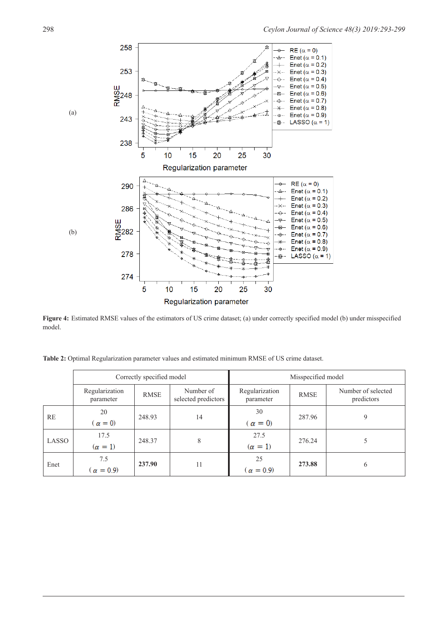

**Figure 4:** Estimated RMSE values of the estimators of US crime dataset; (a) under correctly specified model (b) under misspecified model.

| <b>Table 2:</b> Optimal Regularization parameter values and estimated minimum RMSE of US crime dataset. |  |  |  |
|---------------------------------------------------------------------------------------------------------|--|--|--|
|---------------------------------------------------------------------------------------------------------|--|--|--|

|       |                             | Correctly specified model |                                  | Misspecified model          |             |                                  |  |
|-------|-----------------------------|---------------------------|----------------------------------|-----------------------------|-------------|----------------------------------|--|
|       | Regularization<br>parameter | <b>RMSE</b>               | Number of<br>selected predictors | Regularization<br>parameter | <b>RMSE</b> | Number of selected<br>predictors |  |
| RE    | 20<br>$\alpha = 0$          | 248.93                    | 14                               | 30<br>$\alpha = 0$          | 287.96      | 9                                |  |
| LASSO | 17.5<br>$(\alpha = 1)$      | 248.37                    | 8                                | 27.5<br>$(\alpha = 1)$      | 276.24      |                                  |  |
| Enet  | 7.5<br>$\alpha = 0.9$       | 237.90                    | 11                               | 25<br>$\alpha = 0.9$        | 273.88      | 6                                |  |